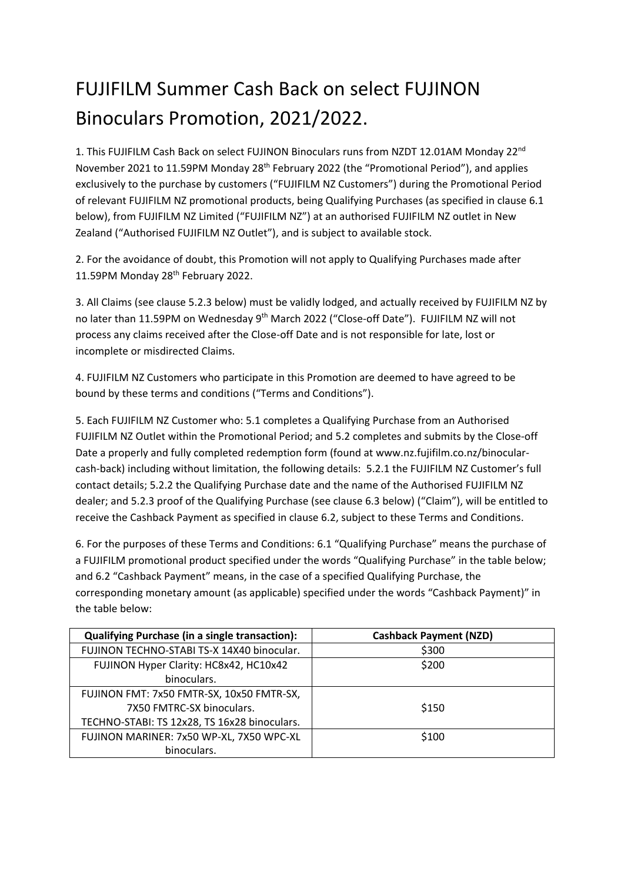## FUJIFILM Summer Cash Back on select FUJINON Binoculars Promotion, 2021/2022.

1. This FUJIFILM Cash Back on select FUJINON Binoculars runs from NZDT 12.01AM Monday 22<sup>nd</sup> November 2021 to 11.59PM Monday 28<sup>th</sup> February 2022 (the "Promotional Period"), and applies exclusively to the purchase by customers ("FUJIFILM NZ Customers") during the Promotional Period of relevant FUJIFILM NZ promotional products, being Qualifying Purchases (as specified in clause 6.1 below), from FUJIFILM NZ Limited ("FUJIFILM NZ") at an authorised FUJIFILM NZ outlet in New Zealand ("Authorised FUJIFILM NZ Outlet"), and is subject to available stock.

2. For the avoidance of doubt, this Promotion will not apply to Qualifying Purchases made after 11.59PM Monday 28<sup>th</sup> February 2022.

3. All Claims (see clause 5.2.3 below) must be validly lodged, and actually received by FUJIFILM NZ by no later than 11.59PM on Wednesday 9<sup>th</sup> March 2022 ("Close-off Date"). FUJIFILM NZ will not process any claims received after the Close-off Date and is not responsible for late, lost or incomplete or misdirected Claims.

4. FUJIFILM NZ Customers who participate in this Promotion are deemed to have agreed to be bound by these terms and conditions ("Terms and Conditions").

5. Each FUJIFILM NZ Customer who: 5.1 completes a Qualifying Purchase from an Authorised FUJIFILM NZ Outlet within the Promotional Period; and 5.2 completes and submits by the Close-off Date a properly and fully completed redemption form (found at www.nz.fujifilm.co.nz/binocularcash-back) including without limitation, the following details: 5.2.1 the FUJIFILM NZ Customer's full contact details; 5.2.2 the Qualifying Purchase date and the name of the Authorised FUJIFILM NZ dealer; and 5.2.3 proof of the Qualifying Purchase (see clause 6.3 below) ("Claim"), will be entitled to receive the Cashback Payment as specified in clause 6.2, subject to these Terms and Conditions.

6. For the purposes of these Terms and Conditions: 6.1 "Qualifying Purchase" means the purchase of a FUJIFILM promotional product specified under the words "Qualifying Purchase" in the table below; and 6.2 "Cashback Payment" means, in the case of a specified Qualifying Purchase, the corresponding monetary amount (as applicable) specified under the words "Cashback Payment)" in the table below:

| <b>Qualifying Purchase (in a single transaction):</b> | <b>Cashback Payment (NZD)</b> |
|-------------------------------------------------------|-------------------------------|
| FUJINON TECHNO-STABI TS-X 14X40 binocular.            | \$300                         |
| FUJINON Hyper Clarity: HC8x42, HC10x42                | \$200                         |
| binoculars.                                           |                               |
| FUJINON FMT: 7x50 FMTR-SX, 10x50 FMTR-SX,             |                               |
| 7X50 FMTRC-SX binoculars.                             | \$150                         |
| TECHNO-STABI: TS 12x28, TS 16x28 binoculars.          |                               |
| FUJINON MARINER: 7x50 WP-XL, 7X50 WPC-XL              | \$100                         |
| binoculars.                                           |                               |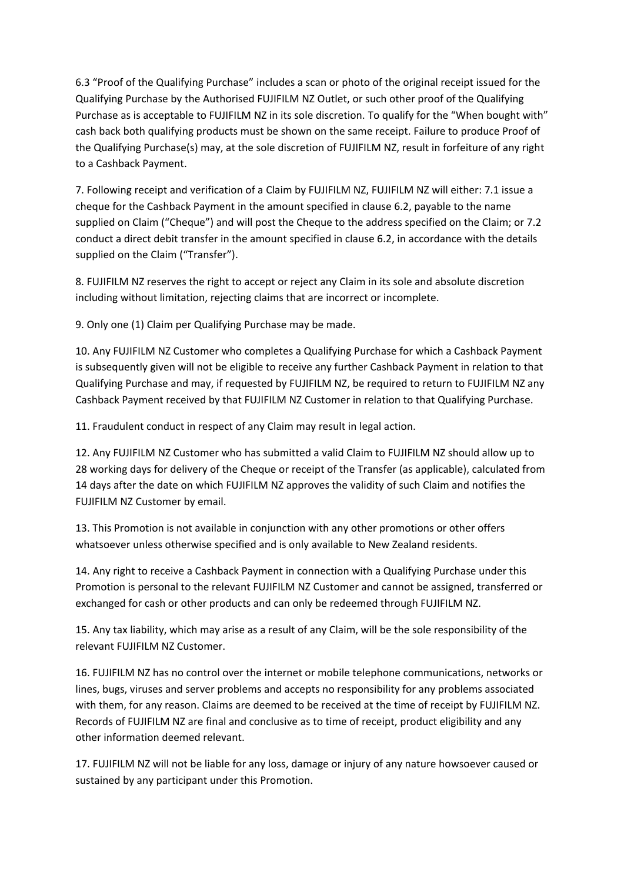6.3 "Proof of the Qualifying Purchase" includes a scan or photo of the original receipt issued for the Qualifying Purchase by the Authorised FUJIFILM NZ Outlet, or such other proof of the Qualifying Purchase as is acceptable to FUJIFILM NZ in its sole discretion. To qualify for the "When bought with" cash back both qualifying products must be shown on the same receipt. Failure to produce Proof of the Qualifying Purchase(s) may, at the sole discretion of FUJIFILM NZ, result in forfeiture of any right to a Cashback Payment.

7. Following receipt and verification of a Claim by FUJIFILM NZ, FUJIFILM NZ will either: 7.1 issue a cheque for the Cashback Payment in the amount specified in clause 6.2, payable to the name supplied on Claim ("Cheque") and will post the Cheque to the address specified on the Claim; or 7.2 conduct a direct debit transfer in the amount specified in clause 6.2, in accordance with the details supplied on the Claim ("Transfer").

8. FUJIFILM NZ reserves the right to accept or reject any Claim in its sole and absolute discretion including without limitation, rejecting claims that are incorrect or incomplete.

9. Only one (1) Claim per Qualifying Purchase may be made.

10. Any FUJIFILM NZ Customer who completes a Qualifying Purchase for which a Cashback Payment is subsequently given will not be eligible to receive any further Cashback Payment in relation to that Qualifying Purchase and may, if requested by FUJIFILM NZ, be required to return to FUJIFILM NZ any Cashback Payment received by that FUJIFILM NZ Customer in relation to that Qualifying Purchase.

11. Fraudulent conduct in respect of any Claim may result in legal action.

12. Any FUJIFILM NZ Customer who has submitted a valid Claim to FUJIFILM NZ should allow up to 28 working days for delivery of the Cheque or receipt of the Transfer (as applicable), calculated from 14 days after the date on which FUJIFILM NZ approves the validity of such Claim and notifies the FUJIFILM NZ Customer by email.

13. This Promotion is not available in conjunction with any other promotions or other offers whatsoever unless otherwise specified and is only available to New Zealand residents.

14. Any right to receive a Cashback Payment in connection with a Qualifying Purchase under this Promotion is personal to the relevant FUJIFILM NZ Customer and cannot be assigned, transferred or exchanged for cash or other products and can only be redeemed through FUJIFILM NZ.

15. Any tax liability, which may arise as a result of any Claim, will be the sole responsibility of the relevant FUJIFILM NZ Customer.

16. FUJIFILM NZ has no control over the internet or mobile telephone communications, networks or lines, bugs, viruses and server problems and accepts no responsibility for any problems associated with them, for any reason. Claims are deemed to be received at the time of receipt by FUJIFILM NZ. Records of FUJIFILM NZ are final and conclusive as to time of receipt, product eligibility and any other information deemed relevant.

17. FUJIFILM NZ will not be liable for any loss, damage or injury of any nature howsoever caused or sustained by any participant under this Promotion.